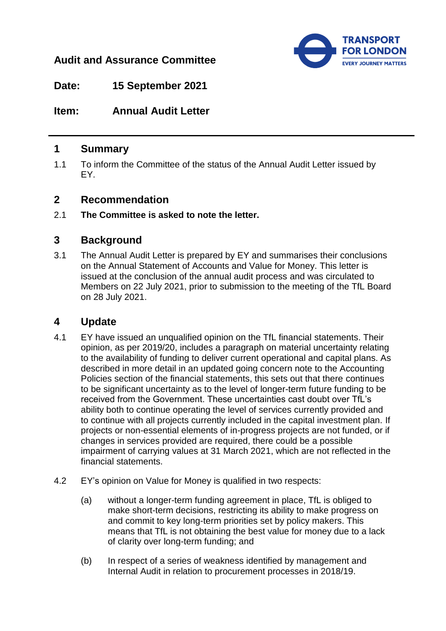# **Audit and Assurance Committee**



**Date: 15 September 2021**

**Item: Annual Audit Letter**

### **1 Summary**

1.1 To inform the Committee of the status of the Annual Audit Letter issued by EY.

### **2 Recommendation**

2.1 **The Committee is asked to note the letter.**

# **3 Background**

3.1 The Annual Audit Letter is prepared by EY and summarises their conclusions on the Annual Statement of Accounts and Value for Money. This letter is issued at the conclusion of the annual audit process and was circulated to Members on 22 July 2021, prior to submission to the meeting of the TfL Board on 28 July 2021.

## **4 Update**

- 4.1 EY have issued an unqualified opinion on the TfL financial statements. Their opinion, as per 2019/20, includes a paragraph on material uncertainty relating to the availability of funding to deliver current operational and capital plans. As described in more detail in an updated going concern note to the Accounting Policies section of the financial statements, this sets out that there continues to be significant uncertainty as to the level of longer-term future funding to be received from the Government. These uncertainties cast doubt over TfL's ability both to continue operating the level of services currently provided and to continue with all projects currently included in the capital investment plan. If projects or non-essential elements of in-progress projects are not funded, or if changes in services provided are required, there could be a possible impairment of carrying values at 31 March 2021, which are not reflected in the financial statements.
- 4.2 EY's opinion on Value for Money is qualified in two respects:
	- (a) without a longer-term funding agreement in place, TfL is obliged to make short-term decisions, restricting its ability to make progress on and commit to key long-term priorities set by policy makers. This means that TfL is not obtaining the best value for money due to a lack of clarity over long-term funding; and
	- (b) In respect of a series of weakness identified by management and Internal Audit in relation to procurement processes in 2018/19.